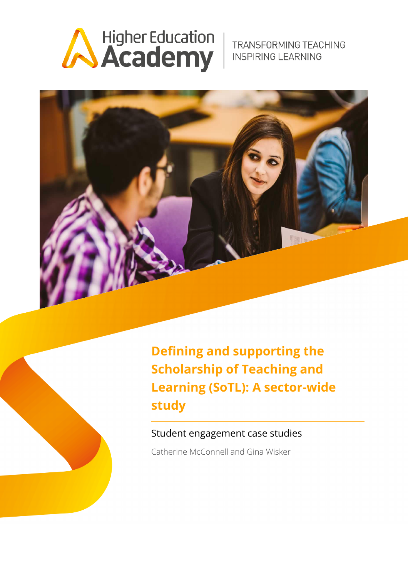

TRANSFORMING TEACHING **INSPIRING LEARNING** 





**Defining and supporting the Scholarship of Teaching and Learning (SoTL): A sector-wide study**

### Student engagement case studies

Catherine McConnell and Gina Wisker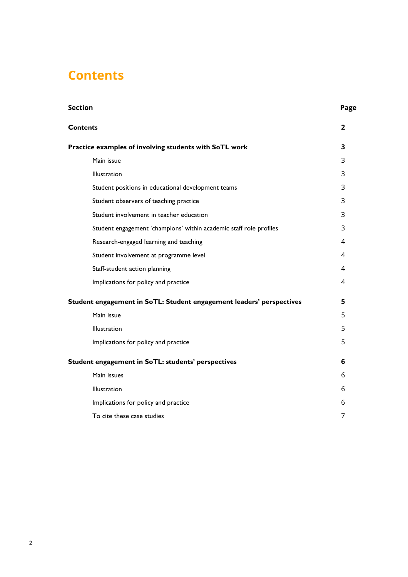## <span id="page-1-0"></span>**Contents**

| Section                                                              | Page |
|----------------------------------------------------------------------|------|
| <b>Contents</b>                                                      | 2    |
| Practice examples of involving students with SoTL work               | 3    |
| Main issue                                                           | 3    |
| Illustration                                                         | 3    |
| Student positions in educational development teams                   | 3    |
| Student observers of teaching practice                               | 3    |
| Student involvement in teacher education                             | 3    |
| Student engagement 'champions' within academic staff role profiles   | 3    |
| Research-engaged learning and teaching                               | 4    |
| Student involvement at programme level                               | 4    |
| Staff-student action planning                                        | 4    |
| Implications for policy and practice                                 | 4    |
| Student engagement in SoTL: Student engagement leaders' perspectives | 5    |
| Main issue                                                           | 5    |
| Illustration                                                         | 5    |
| Implications for policy and practice                                 | 5    |
| Student engagement in SoTL: students' perspectives                   | 6    |
| Main issues                                                          | 6    |
| Illustration                                                         | 6    |
| Implications for policy and practice                                 | 6    |
| To cite these case studies                                           | 7    |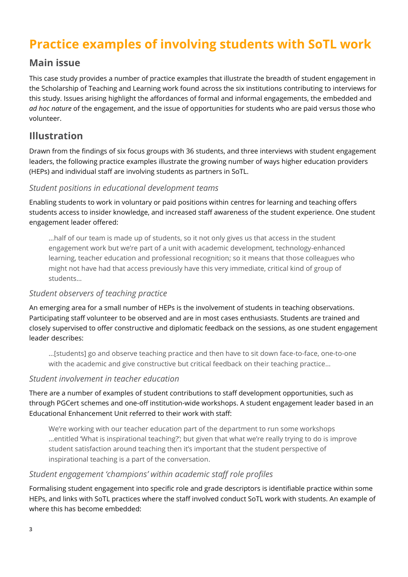## <span id="page-2-0"></span>**Practice examples of involving students with SoTL work**

### <span id="page-2-1"></span>**Main issue**

This case study provides a number of practice examples that illustrate the breadth of student engagement in the Scholarship of Teaching and Learning work found across the six institutions contributing to interviews for this study. Issues arising highlight the affordances of formal and informal engagements, the embedded and *ad hoc nature* of the engagement, and the issue of opportunities for students who are paid versus those who volunteer.

## <span id="page-2-2"></span>**Illustration**

Drawn from the findings of six focus groups with 36 students, and three interviews with student engagement leaders, the following practice examples illustrate the growing number of ways higher education providers (HEPs) and individual staff are involving students as partners in SoTL.

#### <span id="page-2-3"></span>*Student positions in educational development teams*

Enabling students to work in voluntary or paid positions within centres for learning and teaching offers students access to insider knowledge, and increased staff awareness of the student experience. One student engagement leader offered:

…half of our team is made up of students, so it not only gives us that access in the student engagement work but we're part of a unit with academic development, technology-enhanced learning, teacher education and professional recognition; so it means that those colleagues who might not have had that access previously have this very immediate, critical kind of group of students…

### <span id="page-2-4"></span>*Student observers of teaching practice*

An emerging area for a small number of HEPs is the involvement of students in teaching observations. Participating staff volunteer to be observed and are in most cases enthusiasts. Students are trained and closely supervised to offer constructive and diplomatic feedback on the sessions, as one student engagement leader describes:

…[students] go and observe teaching practice and then have to sit down face-to-face, one-to-one with the academic and give constructive but critical feedback on their teaching practice…

#### <span id="page-2-5"></span>*Student involvement in teacher education*

There are a number of examples of student contributions to staff development opportunities, such as through PGCert schemes and one-off institution-wide workshops. A student engagement leader based in an Educational Enhancement Unit referred to their work with staff:

We're working with our teacher education part of the department to run some workshops ...entitled 'What is inspirational teaching?'; but given that what we're really trying to do is improve student satisfaction around teaching then it's important that the student perspective of inspirational teaching is a part of the conversation.

### <span id="page-2-6"></span>*Student engagement 'champions' within academic staff role profiles*

Formalising student engagement into specific role and grade descriptors is identifiable practice within some HEPs, and links with SoTL practices where the staff involved conduct SoTL work with students. An example of where this has become embedded: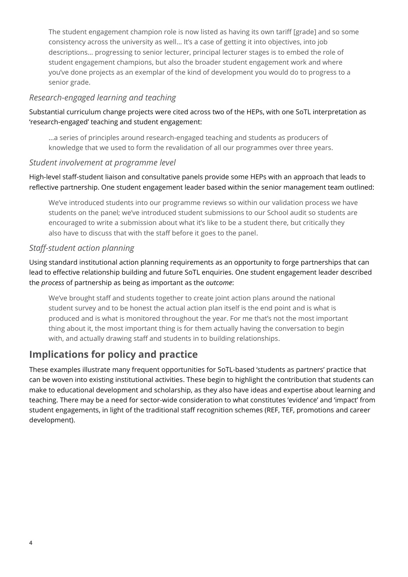The student engagement champion role is now listed as having its own tariff [grade] and so some consistency across the university as well… It's a case of getting it into objectives, into job descriptions… progressing to senior lecturer, principal lecturer stages is to embed the role of student engagement champions, but also the broader student engagement work and where you've done projects as an exemplar of the kind of development you would do to progress to a senior grade.

### <span id="page-3-0"></span>*Research-engaged learning and teaching*

Substantial curriculum change projects were cited across two of the HEPs, with one SoTL interpretation as 'research-engaged' teaching and student engagement:

…a series of principles around research-engaged teaching and students as producers of knowledge that we used to form the revalidation of all our programmes over three years.

### <span id="page-3-1"></span>*Student involvement at programme level*

High-level staff-student liaison and consultative panels provide some HEPs with an approach that leads to reflective partnership. One student engagement leader based within the senior management team outlined:

We've introduced students into our programme reviews so within our validation process we have students on the panel; we've introduced student submissions to our School audit so students are encouraged to write a submission about what it's like to be a student there, but critically they also have to discuss that with the staff before it goes to the panel.

### <span id="page-3-2"></span>*Staff-student action planning*

Using standard institutional action planning requirements as an opportunity to forge partnerships that can lead to effective relationship building and future SoTL enquiries. One student engagement leader described the *process* of partnership as being as important as the *outcome*:

We've brought staff and students together to create joint action plans around the national student survey and to be honest the actual action plan itself is the end point and is what is produced and is what is monitored throughout the year. For me that's not the most important thing about it, the most important thing is for them actually having the conversation to begin with, and actually drawing staff and students in to building relationships.

## <span id="page-3-3"></span>**Implications for policy and practice**

These examples illustrate many frequent opportunities for SoTL-based 'students as partners' practice that can be woven into existing institutional activities. These begin to highlight the contribution that students can make to educational development and scholarship, as they also have ideas and expertise about learning and teaching. There may be a need for sector-wide consideration to what constitutes 'evidence' and 'impact' from student engagements, in light of the traditional staff recognition schemes (REF, TEF, promotions and career development).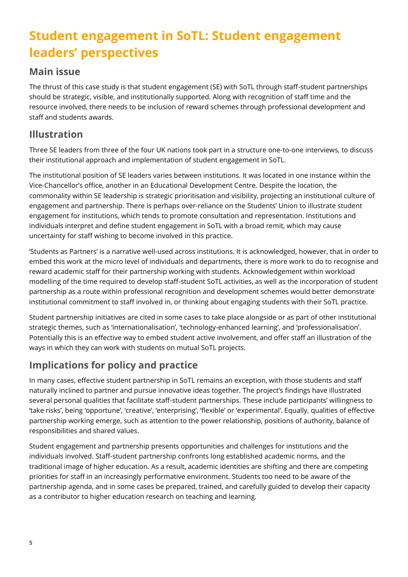# <span id="page-4-0"></span>**Student engagement in SoTL: Student engagement leaders' perspectives**

### <span id="page-4-1"></span>**Main issue**

The thrust of this case study is that student engagement (SE) with SoTL through staff-student partnerships should be strategic, visible, and institutionally supported. Along with recognition of staff time and the resource involved, there needs to be inclusion of reward schemes through professional development and staff and students awards.

## <span id="page-4-2"></span>**Illustration**

Three SE leaders from three of the four UK nations took part in a structure one-to-one interviews, to discuss their institutional approach and implementation of student engagement in SoTL.

The institutional position of SE leaders varies between institutions. It was located in one instance within the Vice-Chancellor's office, another in an Educational Development Centre. Despite the location, the commonality within SE leadership is strategic prioritisation and visibility, projecting an institutional culture of engagement and partnership. There is perhaps over-reliance on the Students' Union to illustrate student engagement for institutions, which tends to promote consultation and representation. Institutions and individuals interpret and define student engagement in SoTL with a broad remit, which may cause uncertainty for staff wishing to become involved in this practice.

'Students as Partners' is a narrative well-used across institutions. It is acknowledged, however, that in order to embed this work at the micro level of individuals and departments, there is more work to do to recognise and reward academic staff for their partnership working with students. Acknowledgement within workload modelling of the time required to develop staff-student SoTL activities, as well as the incorporation of student partnership as a route within professional recognition and development schemes would better demonstrate institutional commitment to staff involved in, or thinking about engaging students with their SoTL practice.

Student partnership initiatives are cited in some cases to take place alongside or as part of other institutional strategic themes, such as 'internationalisation', 'technology-enhanced learning', and 'professionalisation'. Potentially this is an effective way to embed student active involvement, and offer staff an illustration of the ways in which they can work with students on mutual SoTL projects.

## <span id="page-4-3"></span>**Implications for policy and practice**

In many cases, effective student partnership in SoTL remains an exception, with those students and staff naturally inclined to partner and pursue innovative ideas together. The project's findings have illustrated several personal qualities that facilitate staff-student partnerships. These include participants' willingness to 'take risks', being 'opportune', 'creative', 'enterprising', 'flexible' or 'experimental'. Equally, qualities of effective partnership working emerge, such as attention to the power relationship, positions of authority, balance of responsibilities and shared values.

Student engagement and partnership presents opportunities and challenges for institutions and the individuals involved. Staff-student partnership confronts long established academic norms, and the traditional image of higher education. As a result, academic identities are shifting and there are competing priorities for staff in an increasingly performative environment. Students too need to be aware of the partnership agenda, and in some cases be prepared, trained, and carefully guided to develop their capacity as a contributor to higher education research on teaching and learning.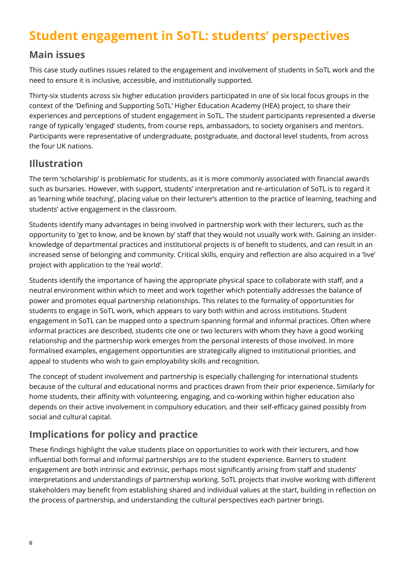## <span id="page-5-0"></span>**Student engagement in SoTL: students' perspectives**

## <span id="page-5-1"></span>**Main issues**

This case study outlines issues related to the engagement and involvement of students in SoTL work and the need to ensure it is inclusive, accessible, and institutionally supported.

Thirty-six students across six higher education providers participated in one of six local focus groups in the context of the 'Defining and Supporting SoTL' Higher Education Academy (HEA) project, to share their experiences and perceptions of student engagement in SoTL. The student participants represented a diverse range of typically 'engaged' students, from course reps, ambassadors, to society organisers and mentors. Participants were representative of undergraduate, postgraduate, and doctoral level students, from across the four UK nations.

### <span id="page-5-2"></span>**Illustration**

The term 'scholarship' is problematic for students, as it is more commonly associated with financial awards such as bursaries. However, with support, students' interpretation and re-articulation of SoTL is to regard it as 'learning while teaching', placing value on their lecturer's attention to the practice of learning, teaching and students' active engagement in the classroom.

Students identify many advantages in being involved in partnership work with their lecturers, such as the opportunity to 'get to know, and be known by' staff that they would not usually work with. Gaining an insiderknowledge of departmental practices and institutional projects is of benefit to students, and can result in an increased sense of belonging and community. Critical skills, enquiry and reflection are also acquired in a 'live' project with application to the 'real world'.

Students identify the importance of having the appropriate physical space to collaborate with staff, and a neutral environment within which to meet and work together which potentially addresses the balance of power and promotes equal partnership relationships. This relates to the formality of opportunities for students to engage in SoTL work, which appears to vary both within and across institutions. Student engagement in SoTL can be mapped onto a spectrum spanning formal and informal practices. Often where informal practices are described, students cite one or two lecturers with whom they have a good working relationship and the partnership work emerges from the personal interests of those involved. In more formalised examples, engagement opportunities are strategically aligned to institutional priorities, and appeal to students who wish to gain employability skills and recognition.

The concept of student involvement and partnership is especially challenging for international students because of the cultural and educational norms and practices drawn from their prior experience. Similarly for home students, their affinity with volunteering, engaging, and co-working within higher education also depends on their active involvement in compulsory education, and their self-efficacy gained possibly from social and cultural capital.

## <span id="page-5-3"></span>**Implications for policy and practice**

These findings highlight the value students place on opportunities to work with their lecturers, and how influential both formal and informal partnerships are to the student experience. Barriers to student engagement are both intrinsic and extrinsic, perhaps most significantly arising from staff and students' interpretations and understandings of partnership working. SoTL projects that involve working with different stakeholders may benefit from establishing shared and individual values at the start, building in reflection on the process of partnership, and understanding the cultural perspectives each partner brings.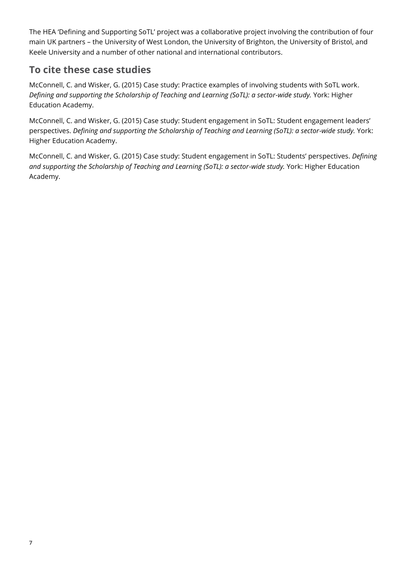The HEA 'Defining and Supporting SoTL' project was a collaborative project involving the contribution of four main UK partners – the University of West London, the University of Brighton, the University of Bristol, and Keele University and a number of other national and international contributors.

## <span id="page-6-0"></span>**To cite these case studies**

McConnell, C. and Wisker, G. (2015) Case study: Practice examples of involving students with SoTL work. *Defining and supporting the Scholarship of Teaching and Learning (SoTL): a sector-wide study.* York: Higher Education Academy.

McConnell, C. and Wisker, G. (2015) Case study: Student engagement in SoTL: Student engagement leaders' perspectives. *Defining and supporting the Scholarship of Teaching and Learning (SoTL): a sector-wide study.* York: Higher Education Academy.

McConnell, C. and Wisker, G. (2015) Case study: Student engagement in SoTL: Students' perspectives. *Defining and supporting the Scholarship of Teaching and Learning (SoTL): a sector-wide study.* York: Higher Education Academy.